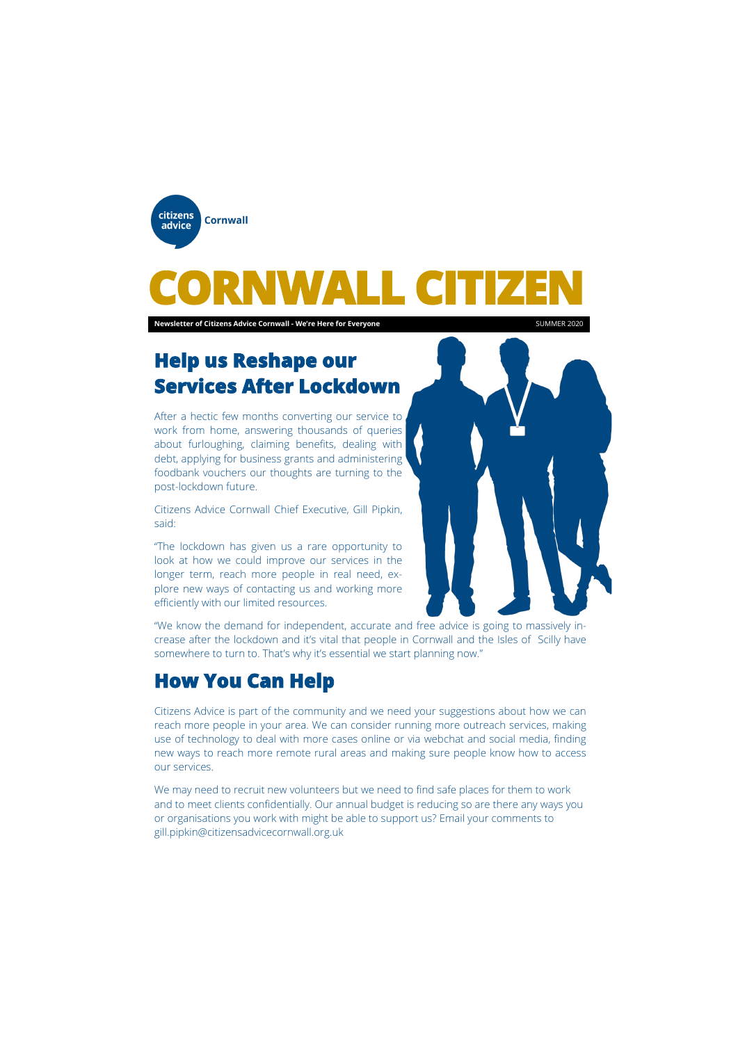

# WALL C

## **Help us Reshape our Services After Lockdown**

After a hectic few months converting our service to work from home, answering thousands of queries about furloughing, claiming benefits, dealing with debt, applying for business grants and administering foodbank vouchers our thoughts are turning to the post-lockdown future.

Citizens Advice Cornwall Chief Executive, Gill Pipkin, said:

"The lockdown has given us a rare opportunity to look at how we could improve our services in the longer term, reach more people in real need, explore new ways of contacting us and working more efficiently with our limited resources.



"We know the demand for independent, accurate and free advice is going to massively increase after the lockdown and it's vital that people in Cornwall and the Isles of Scilly have somewhere to turn to. That's why it's essential we start planning now."

### **How You Can Help**

Citizens Advice is part of the community and we need your suggestions about how we can reach more people in your area. We can consider running more outreach services, making use of technology to deal with more cases online or via webchat and social media, finding new ways to reach more remote rural areas and making sure people know how to access our services.

We may need to recruit new volunteers but we need to find safe places for them to work and to meet clients confidentially. Our annual budget is reducing so are there any ways you or organisations you work with might be able to support us? Email your comments to gill.pipkin@citizensadvicecornwall.org.uk

**Newsletter of Citizens Advice Cornwall - We're Here for Everyone** SUMMER 2020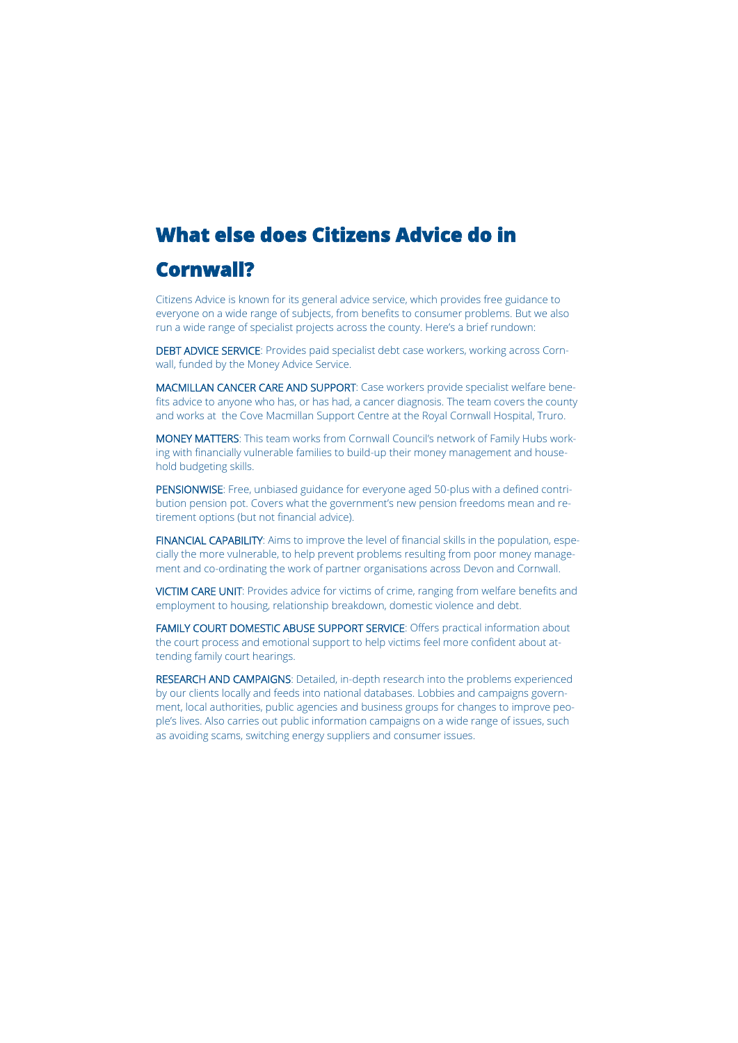# **What else does Citizens Advice do in**

### **Cornwall?**

Citizens Advice is known for its general advice service, which provides free guidance to everyone on a wide range of subjects, from benefits to consumer problems. But we also run a wide range of specialist projects across the county. Here's a brief rundown:

DEBT ADVICE SERVICE: Provides paid specialist debt case workers, working across Cornwall, funded by the Money Advice Service.

MACMILLAN CANCER CARE AND SUPPORT: Case workers provide specialist welfare benefits advice to anyone who has, or has had, a cancer diagnosis. The team covers the county and works at the Cove Macmillan Support Centre at the Royal Cornwall Hospital, Truro.

MONEY MATTERS: This team works from Cornwall Council's network of Family Hubs working with financially vulnerable families to build-up their money management and household budgeting skills.

PENSIONWISE: Free, unbiased guidance for everyone aged 50-plus with a defined contribution pension pot. Covers what the government's new pension freedoms mean and retirement options (but not financial advice).

FINANCIAL CAPABILITY: Aims to improve the level of financial skills in the population, especially the more vulnerable, to help prevent problems resulting from poor money management and co-ordinating the work of partner organisations across Devon and Cornwall.

VICTIM CARE UNIT: Provides advice for victims of crime, ranging from welfare benefits and employment to housing, relationship breakdown, domestic violence and debt.

FAMILY COURT DOMESTIC ABUSE SUPPORT SERVICE: Offers practical information about the court process and emotional support to help victims feel more confident about attending family court hearings.

RESEARCH AND CAMPAIGNS: Detailed, in-depth research into the problems experienced by our clients locally and feeds into national databases. Lobbies and campaigns government, local authorities, public agencies and business groups for changes to improve people's lives. Also carries out public information campaigns on a wide range of issues, such as avoiding scams, switching energy suppliers and consumer issues.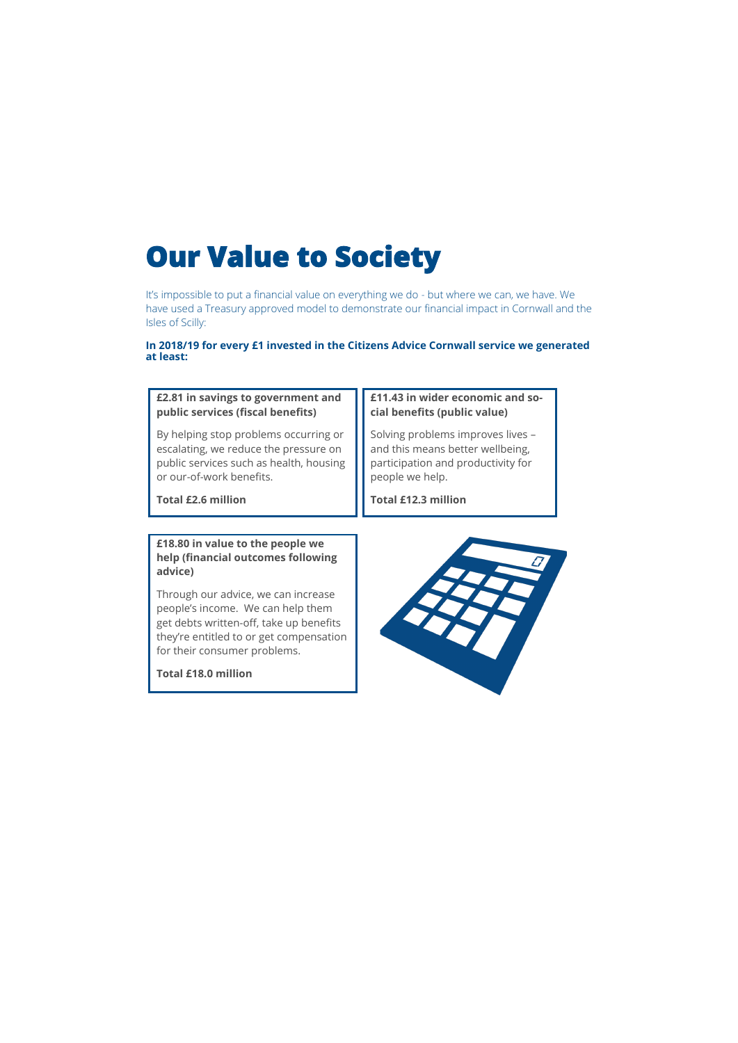# **Our Value to Society**

It's impossible to put a financial value on everything we do - but where we can, we have. We have used a Treasury approved model to demonstrate our financial impact in Cornwall and the Isles of Scilly:

#### **In 2018/19 for every £1 invested in the Citizens Advice Cornwall service we generated at least:**

#### **£2.81 in savings to government and public services (fiscal benefits)**

By helping stop problems occurring or escalating, we reduce the pressure on public services such as health, housing or our-of-work benefits.

**Total £2.6 million**

#### **£11.43 in wider economic and social benefits (public value)**

Solving problems improves lives – and this means better wellbeing, participation and productivity for people we help.

**Total £12.3 million**

**£18.80 in value to the people we help (financial outcomes following advice)**

Through our advice, we can increase people's income. We can help them get debts written-off, take up benefits they're entitled to or get compensation for their consumer problems.

**Total £18.0 million**

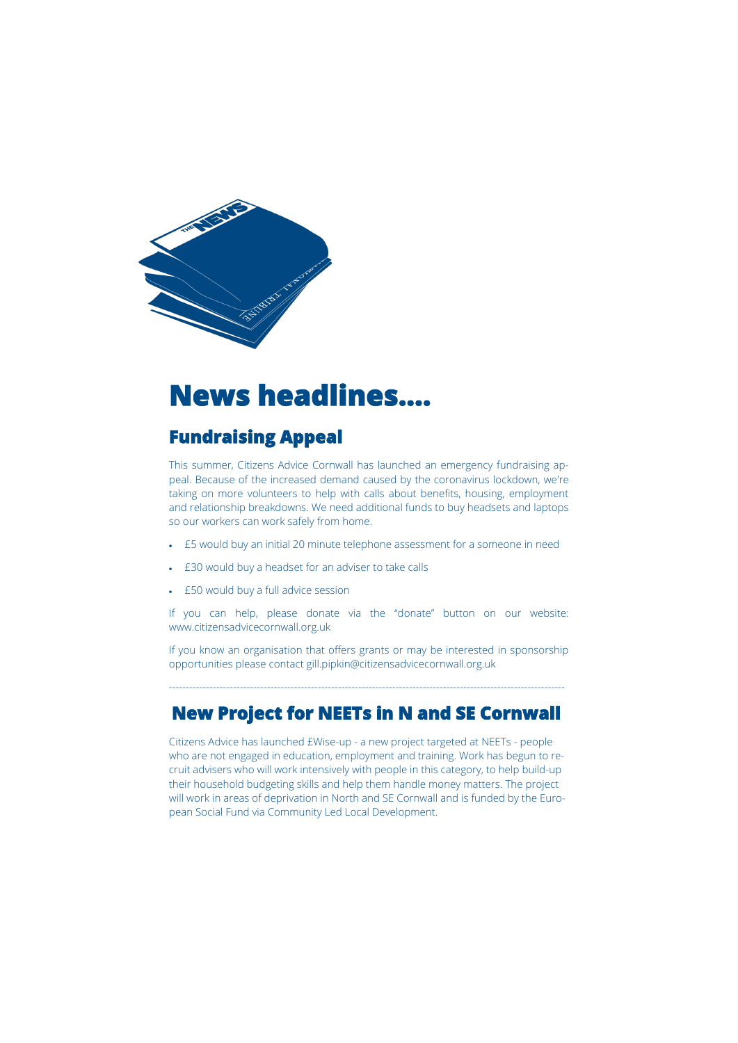

# **News headlines….**

### **Fundraising Appeal**

This summer, Citizens Advice Cornwall has launched an emergency fundraising appeal. Because of the increased demand caused by the coronavirus lockdown, we're taking on more volunteers to help with calls about benefits, housing, employment and relationship breakdowns. We need additional funds to buy headsets and laptops so our workers can work safely from home.

- £5 would buy an initial 20 minute telephone assessment for a someone in need
- £30 would buy a headset for an adviser to take calls
- £50 would buy a full advice session

If you can help, please donate via the "donate" button on our website: www.citizensadvicecornwall.org.uk

If you know an organisation that offers grants or may be interested in sponsorship opportunities please contact gill.pipkin@citizensadvicecornwall.org.uk

---------------------------------------------------------------------------------------------------------------------

### **New Project for NEETs in N and SE Cornwall**

Citizens Advice has launched £Wise-up - a new project targeted at NEETs - people who are not engaged in education, employment and training. Work has begun to recruit advisers who will work intensively with people in this category, to help build-up their household budgeting skills and help them handle money matters. The project will work in areas of deprivation in North and SE Cornwall and is funded by the European Social Fund via Community Led Local Development.